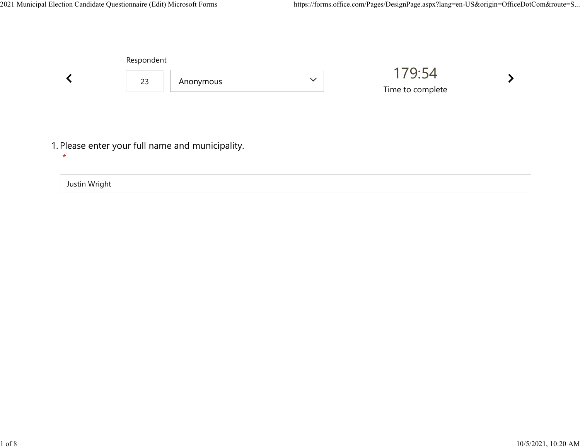

Justin Wright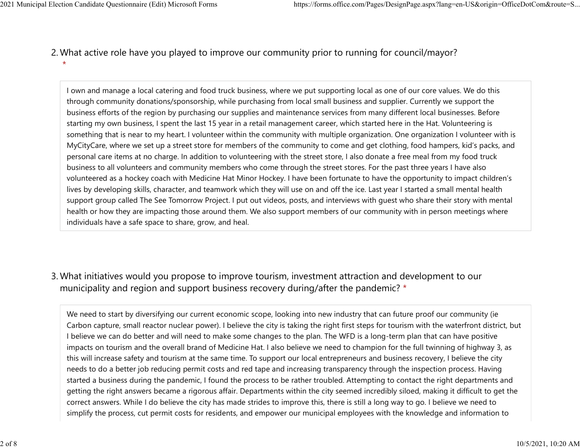What active role have you played to improve our community prior to running for council/mayor? 2. \* 2021 Municipal Election Candidate Questionnaire (Edit) Microsoft Forms https://forms.office.com/Pages/DesignPage.aspx?lang=en-US&origin=OfficeDotCom&route=S...<br>2 Mhat active role baye you played to improve our community pr

> I own and manage a local catering and food truck business, where we put supporting local as one of our core values. We do this through community donations/sponsorship, while purchasing from local small business and supplier. Currently we support the business efforts of the region by purchasing our supplies and maintenance services from many different local businesses. Before starting my own business, I spent the last 15 year in a retail management career, which started here in the Hat. Volunteering is something that is near to my heart. I volunteer within the community with multiple organization. One organization I volunteer with is MyCityCare, where we set up a street store for members of the community to come and get clothing, food hampers, kid's packs, and personal care items at no charge. In addition to volunteering with the street store, I also donate a free meal from my food truck business to all volunteers and community members who come through the street stores. For the past three years I have also volunteered as a hockey coach with Medicine Hat Minor Hockey. I have been fortunate to have the opportunity to impact children's lives by developing skills, character, and teamwork which they will use on and off the ice. Last year I started a small mental health support group called The See Tomorrow Project. I put out videos, posts, and interviews with guest who share their story with mental health or how they are impacting those around them. We also support members of our community with in person meetings where individuals have a safe space to share, grow, and heal.

What initiatives would you propose to improve tourism, investment attraction and development to our 3. municipality and region and support business recovery during/after the pandemic? \*

We need to start by diversifying our current economic scope, looking into new industry that can future proof our community (ie Carbon capture, small reactor nuclear power). I believe the city is taking the right first steps for tourism with the waterfront district, but I believe we can do better and will need to make some changes to the plan. The WFD is a long-term plan that can have positive impacts on tourism and the overall brand of Medicine Hat. I also believe we need to champion for the full twinning of highway 3, as this will increase safety and tourism at the same time. To support our local entrepreneurs and business recovery, I believe the city needs to do a better job reducing permit costs and red tape and increasing transparency through the inspection process. Having started a business during the pandemic, I found the process to be rather troubled. Attempting to contact the right departments and getting the right answers became a rigorous affair. Departments within the city seemed incredibly siloed, making it difficult to get the correct answers. While I do believe the city has made strides to improve this, there is still a long way to go. I believe we need to simplify the process, cut permit costs for residents, and empower our municipal employees with the knowledge and information to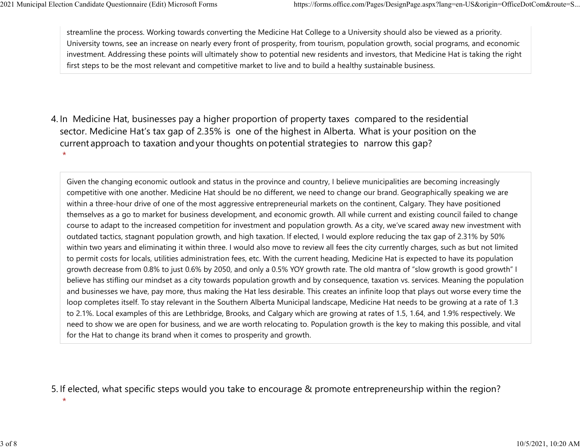streamline the process. Working towards converting the Medicine Hat College to a University should also be viewed as a priority. University towns, see an increase on nearly every front of prosperity, from tourism, population growth, social programs, and economic investment. Addressing these points will ultimately show to potential new residents and investors, that Medicine Hat is taking the right first steps to be the most relevant and competitive market to live and to build a healthy sustainable business. 2021 Municipal Election Candidate Questionnaire (Edit) Microsoft Forms https://forms.office.com/Pages/DesignPage.aspx?lang=en-US&origin=OfficeDotCom&route=S...<br>
streamline the process. Working towards converting the Medici

4. In Medicine Hat, businesses pay a higher proportion of property taxes compared to the residential sector.  Medicine Hat's tax gap of 2.35% is one of the highest in Alberta.  What is your position on the current approach to taxation and your thoughts on potential strategies to narrow this gap? \*

Given the changing economic outlook and status in the province and country, I believe municipalities are becoming increasingly competitive with one another. Medicine Hat should be no different, we need to change our brand. Geographically speaking we are within a three-hour drive of one of the most aggressive entrepreneurial markets on the continent, Calgary. They have positioned themselves as a go to market for business development, and economic growth. All while current and existing council failed to change course to adapt to the increased competition for investment and population growth. As a city, we've scared away new investment with outdated tactics, stagnant population growth, and high taxation. If elected, I would explore reducing the tax gap of 2.31% by 50% within two years and eliminating it within three. I would also move to review all fees the city currently charges, such as but not limited to permit costs for locals, utilities administration fees, etc. With the current heading, Medicine Hat is expected to have its population growth decrease from 0.8% to just 0.6% by 2050, and only a 0.5% YOY growth rate. The old mantra of "slow growth is good growth" I believe has stifling our mindset as a city towards population growth and by consequence, taxation vs. services. Meaning the population and businesses we have, pay more, thus making the Hat less desirable. This creates an infinite loop that plays out worse every time the loop completes itself. To stay relevant in the Southern Alberta Municipal landscape, Medicine Hat needs to be growing at a rate of 1.3 to 2.1%. Local examples of this are Lethbridge, Brooks, and Calgary which are growing at rates of 1.5, 1.64, and 1.9% respectively. We need to show we are open for business, and we are worth relocating to. Population growth is the key to making this possible, and vital for the Hat to change its brand when it comes to prosperity and growth.

5. If elected, what specific steps would you take to encourage & promote entrepreneurship within the region?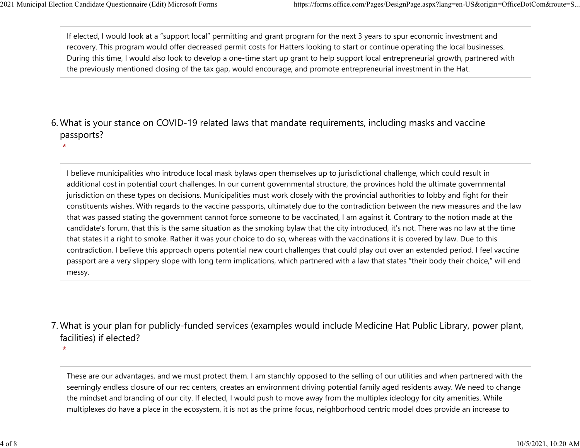If elected, I would look at a "support local" permitting and grant program for the next 3 years to spur economic investment and recovery. This program would offer decreased permit costs for Hatters looking to start or continue operating the local businesses. During this time, I would also look to develop a one-time start up grant to help support local entrepreneurial growth, partnered with the previously mentioned closing of the tax gap, would encourage, and promote entrepreneurial investment in the Hat. 2021 Municipal Election Candidate Questionnaire (Edit) Microsoft Forms https://forms.office.com/Pages/DesignPage.aspx?lang=en-US&origin=OfficeDotCom&route=S...<br>If elected, I would look at a "support local" permitting and g

### What is your stance on COVID-19 related laws that mandate requirements, including masks and vaccine 6. passports?

\*

\*

I believe municipalities who introduce local mask bylaws open themselves up to jurisdictional challenge, which could result in additional cost in potential court challenges. In our current governmental structure, the provinces hold the ultimate governmental jurisdiction on these types on decisions. Municipalities must work closely with the provincial authorities to lobby and fight for their constituents wishes. With regards to the vaccine passports, ultimately due to the contradiction between the new measures and the law that was passed stating the government cannot force someone to be vaccinated, I am against it. Contrary to the notion made at the candidate's forum, that this is the same situation as the smoking bylaw that the city introduced, it's not. There was no law at the time that states it a right to smoke. Rather it was your choice to do so, whereas with the vaccinations it is covered by law. Due to this contradiction, I believe this approach opens potential new court challenges that could play out over an extended period. I feel vaccine passport are a very slippery slope with long term implications, which partnered with a law that states "their body their choice," will end messy.

### What is your plan for publicly-funded services (examples would include Medicine Hat Public Library, power plant, 7. facilities) if elected?

These are our advantages, and we must protect them. I am stanchly opposed to the selling of our utilities and when partnered with the seemingly endless closure of our rec centers, creates an environment driving potential family aged residents away. We need to change the mindset and branding of our city. If elected, I would push to move away from the multiplex ideology for city amenities. While multiplexes do have a place in the ecosystem, it is not as the prime focus, neighborhood centric model does provide an increase to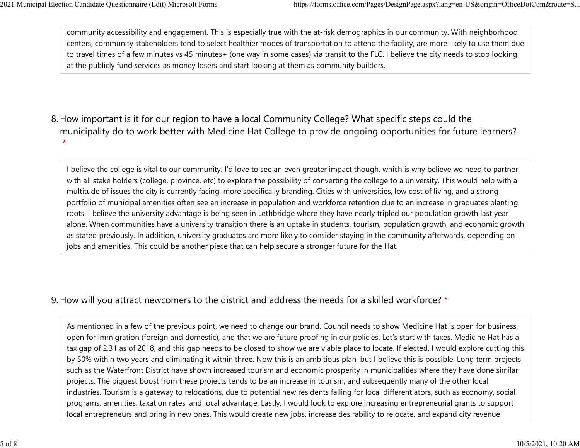community accessibility and engagement. This is especially true with the at-risk demographics in our community. With neighborhood centers, community stakeholders tend to select healthier modes of transportation to attend the facility, are more likely to use them due to travel times of a few minutes vs 45 minutes+ (one way in some cases) via transit to the FLC. I believe the city needs to stop looking at the publicly fund services as money losers and start looking at them as community builders. 2021 Municipal Election Candidate Questionnaire (Edit) Microsoft Forms https://forms.office.com/Pages/DesignPage.aspx?lang=en-US&origin=OfficeDotCom&route=S...<br>
community accessibility and engagement. This is especially tr

8. How important is it for our region to have a local Community College? What specific steps could the municipality do to work better with Medicine Hat College to provide ongoing opportunities for future learners? \*

I believe the college is vital to our community. I'd love to see an even greater impact though, which is why believe we need to partner with all stake holders (college, province, etc) to explore the possibility of converting the college to a university. This would help with a multitude of issues the city is currently facing, more specifically branding. Cities with universities, low cost of living, and a strong portfolio of municipal amenities often see an increase in population and workforce retention due to an increase in graduates planting roots. I believe the university advantage is being seen in Lethbridge where they have nearly tripled our population growth last year alone. When communities have a university transition there is an uptake in students, tourism, population growth, and economic growth as stated previously. In addition, university graduates are more likely to consider staying in the community afterwards, depending on jobs and amenities. This could be another piece that can help secure a stronger future for the Hat.

#### 9. How will you attract newcomers to the district and address the needs for a skilled workforce? \*

As mentioned in a few of the previous point, we need to change our brand. Council needs to show Medicine Hat is open for business, open for immigration (foreign and domestic), and that we are future proofing in our policies. Let's start with taxes. Medicine Hat has a tax gap of 2.31 as of 2018, and this gap needs to be closed to show we are viable place to locate. If elected, I would explore cutting this by 50% within two years and eliminating it within three. Now this is an ambitious plan, but I believe this is possible. Long term projects such as the Waterfront District have shown increased tourism and economic prosperity in municipalities where they have done similar projects. The biggest boost from these projects tends to be an increase in tourism, and subsequently many of the other local industries. Tourism is a gateway to relocations, due to potential new residents falling for local differentiators, such as economy, social programs, amenities, taxation rates, and local advantage. Lastly, I would look to explore increasing entrepreneurial grants to support local entrepreneurs and bring in new ones. This would create new jobs, increase desirability to relocate, and expand city revenue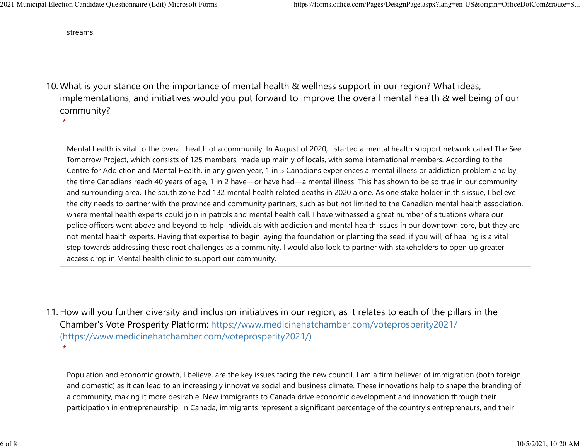streams.

10. What is your stance on the importance of mental health & wellness support in our region? What ideas, implementations, and initiatives would you put forward to improve the overall mental health & wellbeing of our community?

\*

Mental health is vital to the overall health of a community. In August of 2020, I started a mental health support network called The See Tomorrow Project, which consists of 125 members, made up mainly of locals, with some international members. According to the Centre for Addiction and Mental Health, in any given year, 1 in 5 Canadians experiences a mental illness or addiction problem and by the time Canadians reach 40 years of age, 1 in 2 have—or have had—a mental illness. This has shown to be so true in our community and surrounding area. The south zone had 132 mental health related deaths in 2020 alone. As one stake holder in this issue, I believe the city needs to partner with the province and community partners, such as but not limited to the Canadian mental health association, where mental health experts could join in patrols and mental health call. I have witnessed a great number of situations where our police officers went above and beyond to help individuals with addiction and mental health issues in our downtown core, but they are not mental health experts. Having that expertise to begin laying the foundation or planting the seed, if you will, of healing is a vital step towards addressing these root challenges as a community. I would also look to partner with stakeholders to open up greater access drop in Mental health clinic to support our community.

11. How will you further diversity and inclusion initiatives in our region, as it relates to each of the pillars in the Chamber's Vote Prosperity Platform: https://www.medicinehatchamber.com/voteprosperity2021/ (https://www.medicinehatchamber.com/voteprosperity2021/) \*

Population and economic growth, I believe, are the key issues facing the new council. I am a firm believer of immigration (both foreign and domestic) as it can lead to an increasingly innovative social and business climate. These innovations help to shape the branding of a community, making it more desirable. New immigrants to Canada drive economic development and innovation through their participation in entrepreneurship. In Canada, immigrants represent a significant percentage of the country's entrepreneurs, and their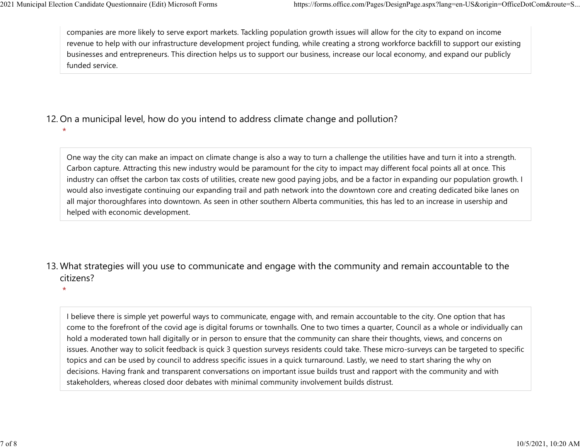\*

companies are more likely to serve export markets. Tackling population growth issues will allow for the city to expand on income revenue to help with our infrastructure development project funding, while creating a strong workforce backfill to support our existing businesses and entrepreneurs. This direction helps us to support our business, increase our local economy, and expand our publicly funded service. 2021 Municipal Election Candidate Questionnaire (Edit) Microsoft Forms https://forms.office.com/Pages/DesignPage.aspx?lang=en-US&origin=OfficeDotCom&route=S...<br>
companies are more likely to serve export markets. Tackling p

# 12. On a municipal level, how do you intend to address climate change and pollution?

One way the city can make an impact on climate change is also a way to turn a challenge the utilities have and turn it into a strength. Carbon capture. Attracting this new industry would be paramount for the city to impact may different focal points all at once. This industry can offset the carbon tax costs of utilities, create new good paying jobs, and be a factor in expanding our population growth. I would also investigate continuing our expanding trail and path network into the downtown core and creating dedicated bike lanes on all major thoroughfares into downtown. As seen in other southern Alberta communities, this has led to an increase in usership and helped with economic development.

# 13. What strategies will you use to communicate and engage with the community and remain accountable to the citizens?

\*

I believe there is simple yet powerful ways to communicate, engage with, and remain accountable to the city. One option that has come to the forefront of the covid age is digital forums or townhalls. One to two times a quarter, Council as a whole or individually can hold a moderated town hall digitally or in person to ensure that the community can share their thoughts, views, and concerns on issues. Another way to solicit feedback is quick 3 question surveys residents could take. These micro-surveys can be targeted to specific topics and can be used by council to address specific issues in a quick turnaround. Lastly, we need to start sharing the why on decisions. Having frank and transparent conversations on important issue builds trust and rapport with the community and with stakeholders, whereas closed door debates with minimal community involvement builds distrust.